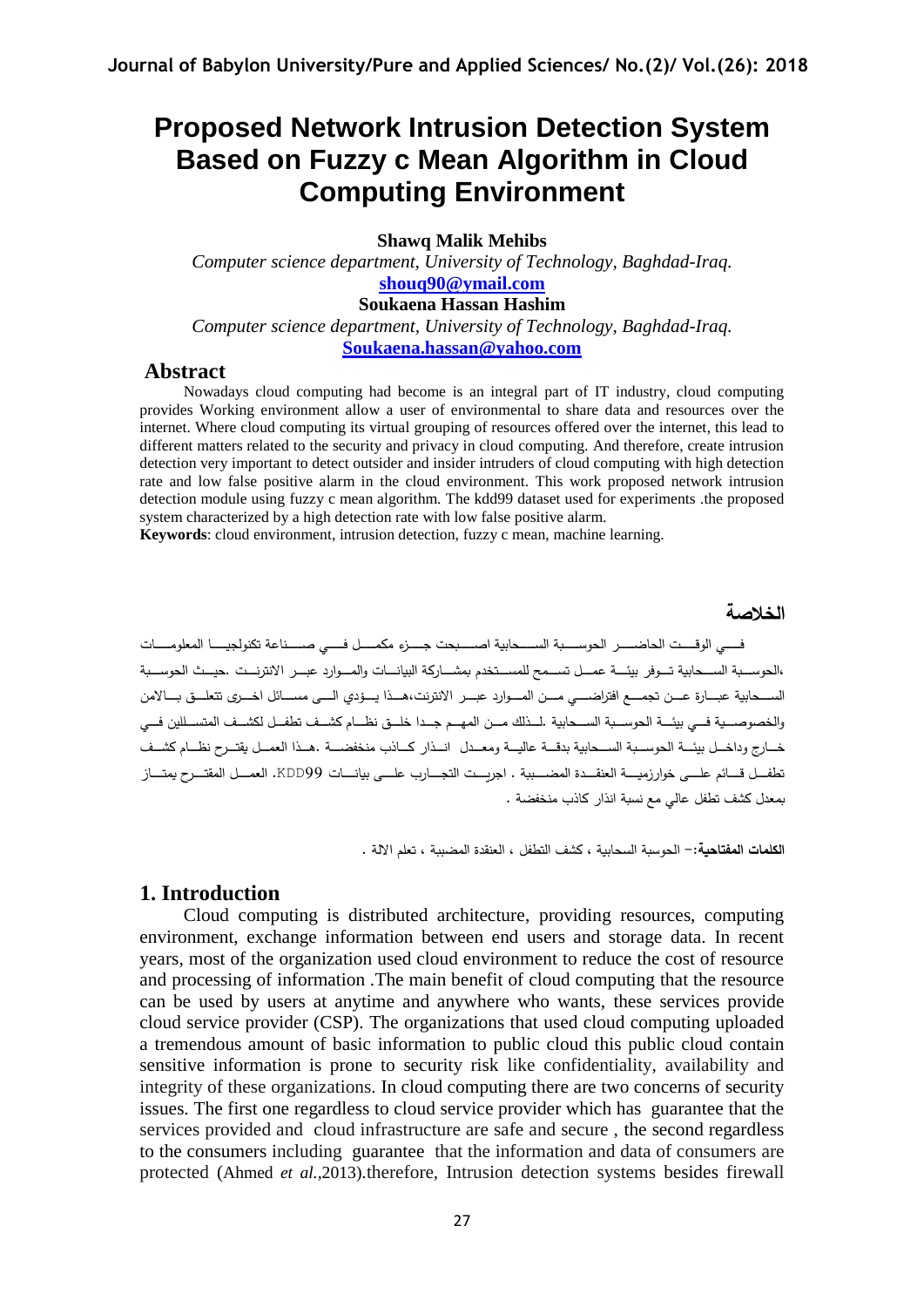# **Proposed Network Intrusion Detection System Based on Fuzzy c Mean Algorithm in Cloud Computing Environment**

**Shawq Malik Mehibs**

*Computer science department, University of Technology, Baghdad-Iraq.* **[shouq90@ymail.com](mailto:shouq90@ymail.com)**

**Soukaena Hassan Hashim**

*Computer science department, University of Technology, Baghdad-Iraq.*

**[Soukaena.hassan@yahoo.com](mailto:Soukaena.hassan@yahoo.com)**

### **Abstract**

Nowadays cloud computing had become is an integral part of IT industry, cloud computing provides Working environment allow a user of environmental to share data and resources over the internet. Where cloud computing its virtual grouping of resources offered over the internet, this lead to different matters related to the security and privacy in cloud computing. And therefore, create intrusion detection very important to detect outsider and insider intruders of cloud computing with high detection rate and low false positive alarm in the cloud environment. This work proposed network intrusion detection module using fuzzy c mean algorithm. The kdd99 dataset used for experiments .the proposed system characterized by a high detection rate with low false positive alarm.

**Keywords**: cloud environment, intrusion detection, fuzzy c mean, machine learning.

**الخالصة** 

فيي الوقييت الحاضيير الحوسيية السييجابية اصبيبجت جسزء مكميل فيي صبيناعة تكنولجييا المعلوميات ،الحوســبة الســحابية تــوفر بيئـــة عمــل تســمح للمســتخدم بمشــاركة البيانــات والمــوارد عبــر الانترنــت .حيــث الحوســبة الســـحابية عبـــارة عـــن تجمـــع افتراضــــي مـــن المـــوارد عبـــر الانترنت،هـــذا يـــؤدي الــــي مســـائل اخــــرى تتعلـــق بــــالامن والخصوصــية فــي بيئـــة الحوســبة الســحابية .لـــذلك مـــن المهـــم جــدا خلـــق نظـــام كشــف لكشــف المتســللين فـــي خسارج وداخسل بيئية الحوسيية السيجابية بدقية عاليية ومعيدل انسذار كسانب منخفضية .هيذا العميل يقتيرج نظيام كشيف ييني تي الحسي عليي خوارزميسية العنقسدة المضمييية . اجريست التجسارب عليي بيانسات 1099B. العمسل المقتسرح يمتساز بمعدل كشف تطفل عالى مع نسبة انذار كاذب منخفضة .

ا**لكلمات المفتاحية: –** الحوسبة السحابية ، كشف التطفل ، العنقدة المضبيبة ، تعلم الالة .

### **1. Introduction**

Cloud computing is distributed architecture, providing resources, computing environment, exchange information between end users and storage data. In recent years, most of the organization used cloud environment to reduce the cost of resource and processing of information .The main benefit of cloud computing that the resource can be used by users at anytime and anywhere who wants, these services provide cloud service provider (CSP). The organizations that used cloud computing uploaded a tremendous amount of basic information to public cloud this public cloud contain sensitive information is prone to security risk like confidentiality, availability and integrity of these organizations. In cloud computing there are two concerns of security issues. The first one regardless to cloud service provider which has guarantee that the services provided and cloud infrastructure are safe and secure , the second regardless to the consumers including guarantee that the information and data of consumers are protected (Ahmed *et al.,*2013).therefore, Intrusion detection systems besides firewall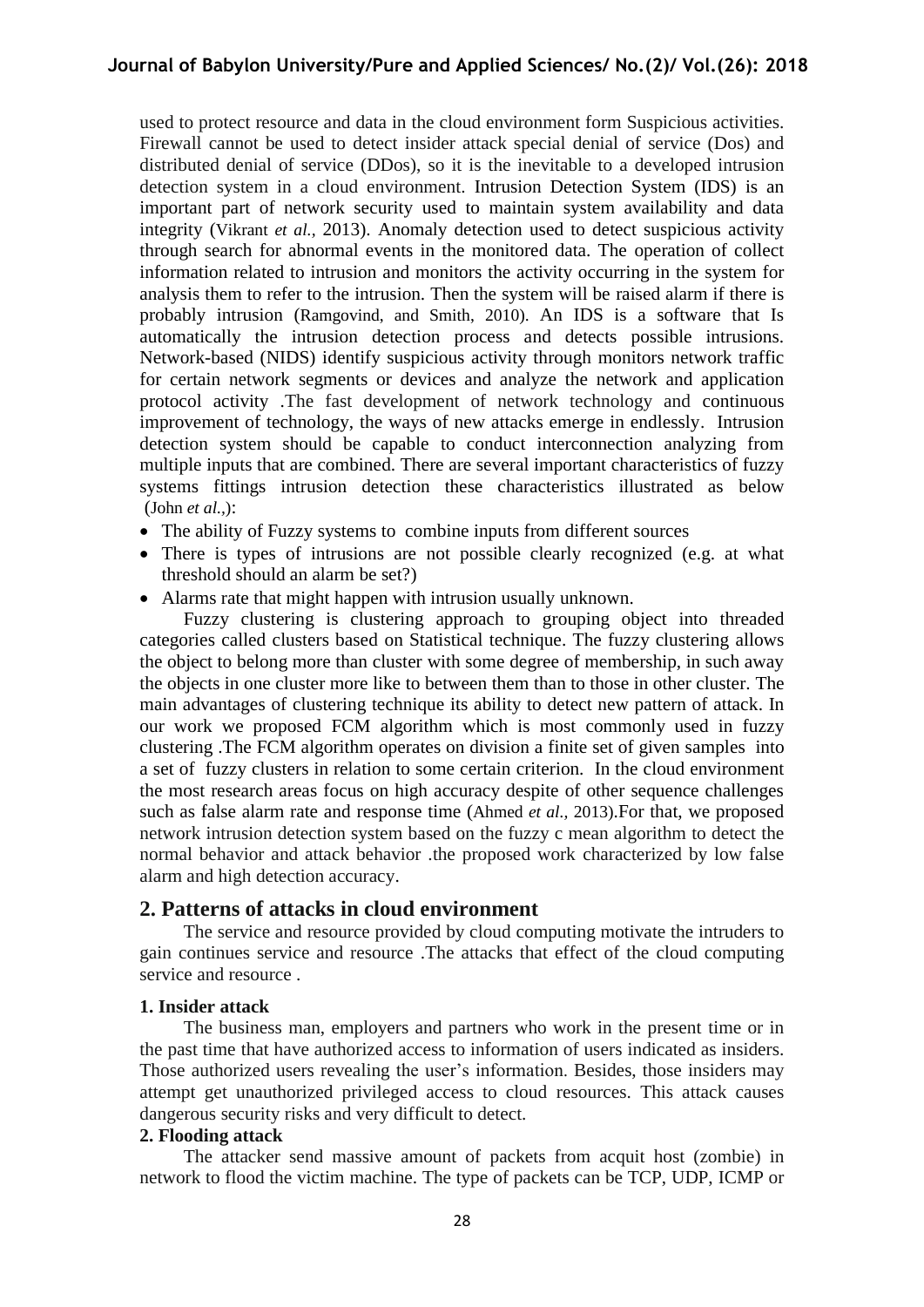used to protect resource and data in the cloud environment form Suspicious activities. Firewall cannot be used to detect insider attack special denial of service (Dos) and distributed denial of service (DDos), so it is the inevitable to a developed intrusion detection system in a cloud environment. Intrusion Detection System (IDS) is an important part of network security used to maintain system availability and data integrity (Vikrant *et al.,* 2013). Anomaly detection used to detect suspicious activity through search for abnormal events in the monitored data. The operation of collect information related to intrusion and monitors the activity occurring in the system for analysis them to refer to the intrusion. Then the system will be raised alarm if there is probably intrusion (Ramgovind, and Smith, 2010). An IDS is a software that Is automatically the intrusion detection process and detects possible intrusions. Network-based (NIDS) identify suspicious activity through monitors network traffic for certain network segments or devices and analyze the network and application protocol activity .The fast development of network technology and continuous improvement of technology, the ways of new attacks emerge in endlessly. Intrusion detection system should be capable to conduct interconnection analyzing from multiple inputs that are combined. There are several important characteristics of fuzzy systems fittings intrusion detection these characteristics illustrated as below (John *et al.,*):

- The ability of Fuzzy systems to combine inputs from different sources
- There is types of intrusions are not possible clearly recognized (e.g. at what threshold should an alarm be set?)
- Alarms rate that might happen with intrusion usually unknown.

Fuzzy clustering is clustering approach to grouping object into threaded categories called clusters based on Statistical technique. The fuzzy clustering allows the object to belong more than cluster with some degree of membership, in such away the objects in one cluster more like to between them than to those in other cluster. The main advantages of clustering technique its ability to detect new pattern of attack. In our work we proposed FCM algorithm which is most commonly used in fuzzy clustering .The FCM algorithm operates on division a finite set of given samples into a set of fuzzy clusters in relation to some certain criterion. In the cloud environment the most research areas focus on high accuracy despite of other sequence challenges such as false alarm rate and response time (Ahmed *et al.,* 2013).For that, we proposed network intrusion detection system based on the fuzzy c mean algorithm to detect the normal behavior and attack behavior .the proposed work characterized by low false alarm and high detection accuracy.

### **2. Patterns of attacks in cloud environment**

The service and resource provided by cloud computing motivate the intruders to gain continues service and resource .The attacks that effect of the cloud computing service and resource .

#### **1. Insider attack**

The business man, employers and partners who work in the present time or in the past time that have authorized access to information of users indicated as insiders. Those authorized users revealing the user's information. Besides, those insiders may attempt get unauthorized privileged access to cloud resources. This attack causes dangerous security risks and very difficult to detect.

### **2. Flooding attack**

The attacker send massive amount of packets from acquit host (zombie) in network to flood the victim machine. The type of packets can be TCP, UDP, ICMP or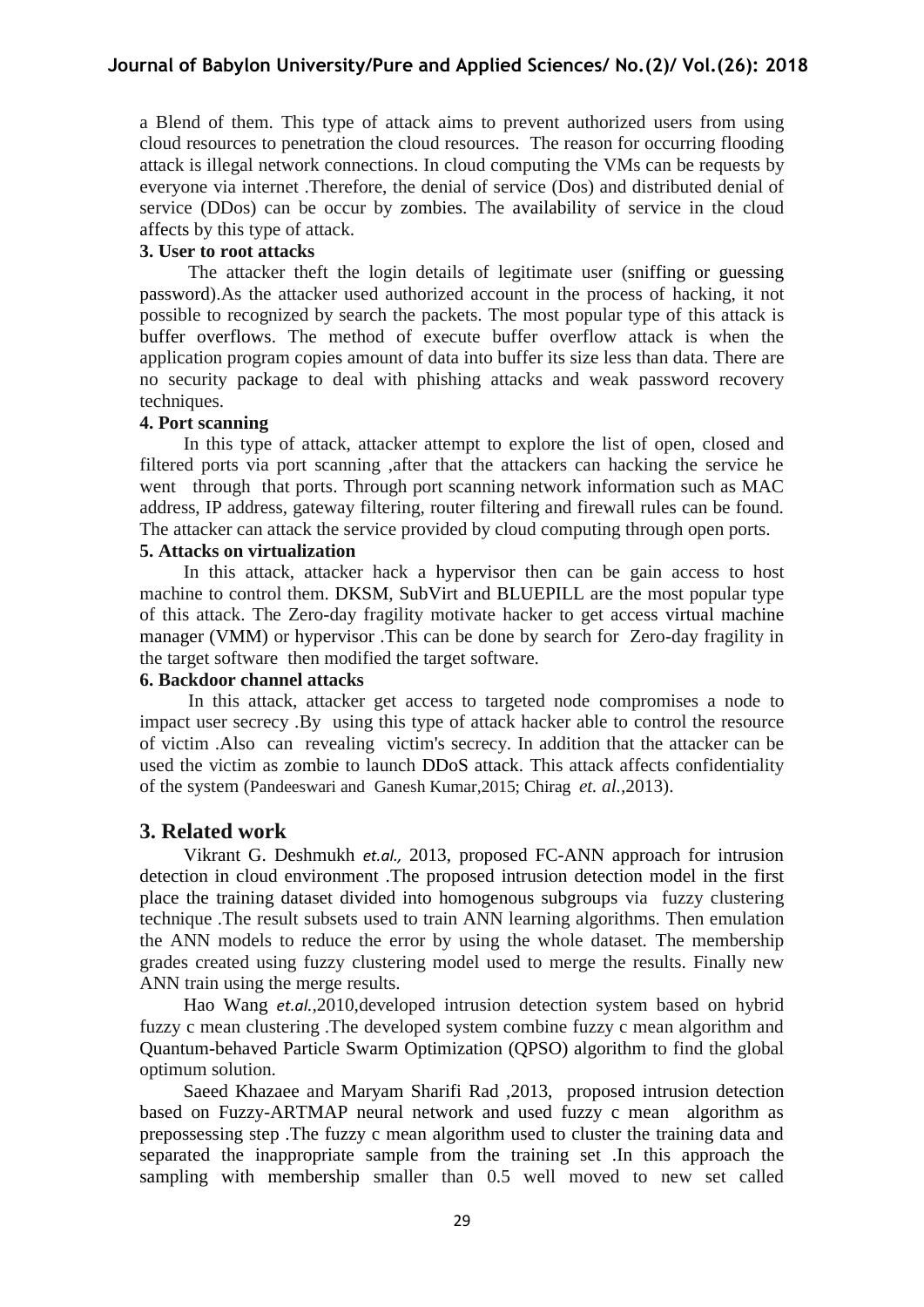## **Journal of Babylon University/Pure and Applied Sciences/ No.(2)/ Vol.(26): 2018**

a Blend of them. This type of attack aims to prevent authorized users from using cloud resources to penetration the cloud resources. The reason for occurring flooding attack is illegal network connections. In cloud computing the VMs can be requests by everyone via internet .Therefore, the denial of service (Dos) and distributed denial of service (DDos) can be occur by zombies. The availability of service in the cloud affects by this type of attack.

### **3. User to root attacks**

The attacker theft the login details of legitimate user (sniffing or guessing password).As the attacker used authorized account in the process of hacking, it not possible to recognized by search the packets. The most popular type of this attack is buffer overflows. The method of execute buffer overflow attack is when the application program copies amount of data into buffer its size less than data. There are no security package to deal with phishing attacks and weak password recovery techniques.

### **4. Port scanning**

In this type of attack, attacker attempt to explore the list of open, closed and filtered ports via port scanning ,after that the attackers can hacking the service he went through that ports. Through port scanning network information such as MAC address, IP address, gateway filtering, router filtering and firewall rules can be found. The attacker can attack the service provided by cloud computing through open ports.

### **5. Attacks on virtualization**

In this attack, attacker hack a hypervisor then can be gain access to host machine to control them. DKSM, SubVirt and BLUEPILL are the most popular type of this attack. The Zero-day fragility motivate hacker to get access virtual machine manager (VMM) or hypervisor .This can be done by search for Zero-day fragility in the target software then modified the target software.

# **6. Backdoor channel attacks**

In this attack, attacker get access to targeted node compromises a node to impact user secrecy .By using this type of attack hacker able to control the resource of victim .Also can revealing victim's secrecy. In addition that the attacker can be used the victim as zombie to launch DDoS attack. This attack affects confidentiality of the system (Pandeeswari and Ganesh Kumar,2015; Chirag *et. al.,*2013).

### **3. Related work**

Vikrant G. Deshmukh *et.al.,* 2013, proposed FC-ANN approach for intrusion detection in cloud environment .The proposed intrusion detection model in the first place the training dataset divided into homogenous subgroups via fuzzy clustering technique .The result subsets used to train ANN learning algorithms. Then emulation the ANN models to reduce the error by using the whole dataset. The membership grades created using fuzzy clustering model used to merge the results. Finally new ANN train using the merge results.

Hao Wang *et.al.,*2010,developed intrusion detection system based on hybrid fuzzy c mean clustering .The developed system combine fuzzy c mean algorithm and Quantum-behaved Particle Swarm Optimization (QPSO) algorithm to find the global optimum solution.

Saeed Khazaee and Maryam Sharifi Rad ,2013, proposed intrusion detection based on Fuzzy-ARTMAP neural network and used fuzzy c mean algorithm as prepossessing step .The fuzzy c mean algorithm used to cluster the training data and separated the inappropriate sample from the training set .In this approach the sampling with membership smaller than 0.5 well moved to new set called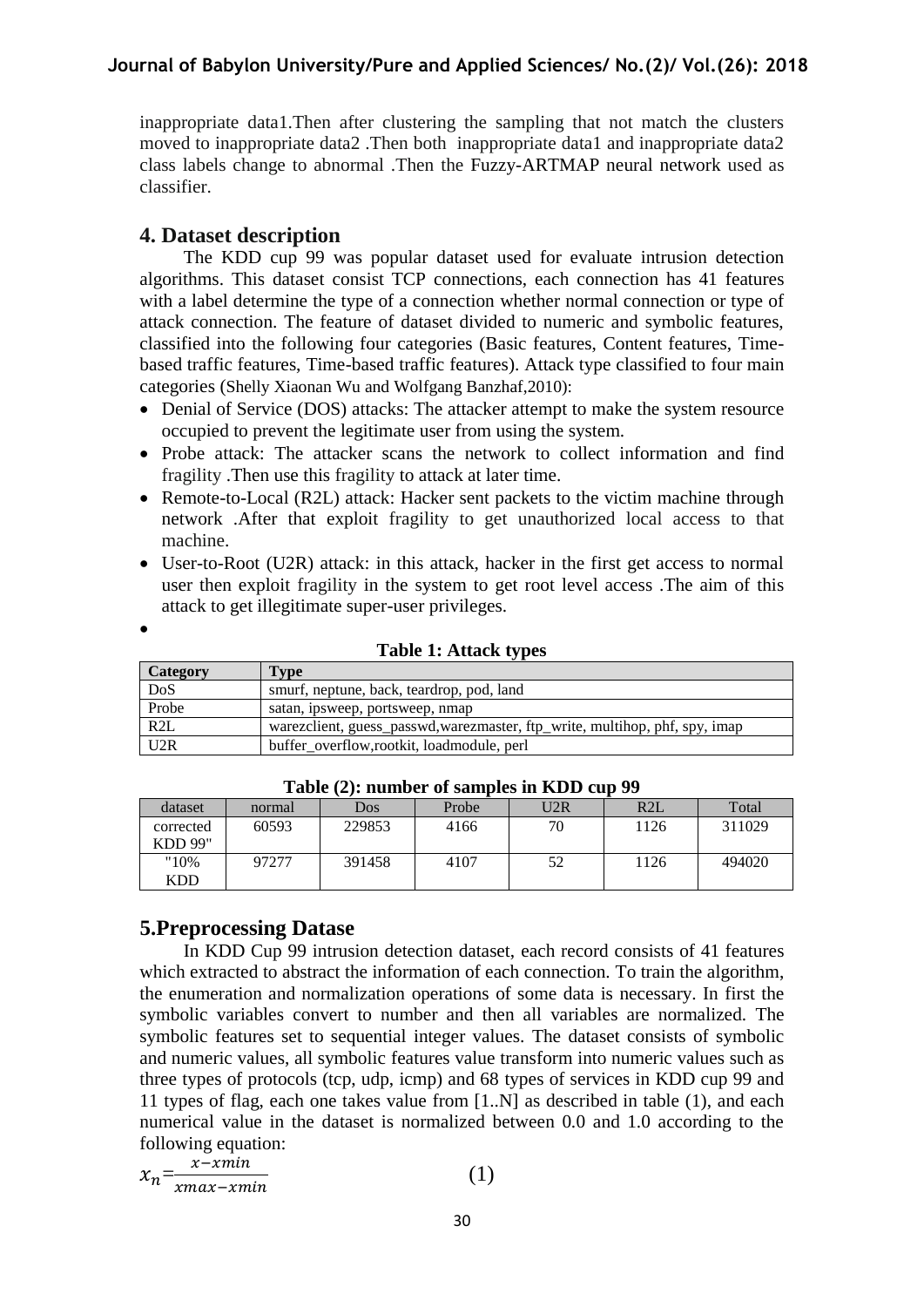# **Journal of Babylon University/Pure and Applied Sciences/ No.(2)/ Vol.(26): 2018**

inappropriate data1.Then after clustering the sampling that not match the clusters moved to inappropriate data2 .Then both inappropriate data1 and inappropriate data2 class labels change to abnormal .Then the Fuzzy-ARTMAP neural network used as classifier.

# **4. Dataset description**

The KDD cup 99 was popular dataset used for evaluate intrusion detection algorithms. This dataset consist TCP connections, each connection has 41 features with a label determine the type of a connection whether normal connection or type of attack connection. The feature of dataset divided to numeric and symbolic features, classified into the following four categories (Basic features, Content features, Timebased traffic features, Time-based traffic features). Attack type classified to four main categories (Shelly Xiaonan Wu and Wolfgang Banzhaf,2010):

- Denial of Service (DOS) attacks: The attacker attempt to make the system resource occupied to prevent the legitimate user from using the system.
- Probe attack: The attacker scans the network to collect information and find fragility .Then use this fragility to attack at later time.
- Remote-to-Local (R2L) attack: Hacker sent packets to the victim machine through network .After that exploit fragility to get unauthorized local access to that machine.
- User-to-Root (U2R) attack: in this attack, hacker in the first get access to normal user then exploit fragility in the system to get root level access .The aim of this attack to get illegitimate super-user privileges.

 $\bullet$ 

| <b>Table 1: Attack types</b> |  |
|------------------------------|--|
|------------------------------|--|

| Category         | Type                                                                       |
|------------------|----------------------------------------------------------------------------|
| DoS              | smurf, neptune, back, teardrop, pod, land                                  |
| Probe            | satan, ipsweep, portsweep, nmap                                            |
| R <sub>2</sub> L | warezclient, guess_passwd,warezmaster, ftp_write, multihop, phf, spy, imap |
| U2R              | buffer_overflow,rootkit, loadmodule, perl                                  |

| A WHILE IS IN ALWARANT VA DWAALDAUD AAL AAN AF UM DIJ |        |        |       |     |      |        |
|-------------------------------------------------------|--------|--------|-------|-----|------|--------|
| dataset                                               | normal | Dos    | Probe | U2R | R2L  | Total  |
| corrected<br>KDD 99"                                  | 60593  | 229853 | 4166  | 70  | 1126 | 311029 |
| $"10\%$<br><b>KDD</b>                                 | 97277  | 391458 | 4107  | 52  | 1126 | 494020 |

**Table (2): number of samples in KDD cup 99**

# **5.Preprocessing Datase**

In KDD Cup 99 intrusion detection dataset, each record consists of 41 features which extracted to abstract the information of each connection. To train the algorithm, the enumeration and normalization operations of some data is necessary. In first the symbolic variables convert to number and then all variables are normalized. The symbolic features set to sequential integer values. The dataset consists of symbolic and numeric values, all symbolic features value transform into numeric values such as three types of protocols (tcp, udp, icmp) and 68 types of services in KDD cup 99 and 11 types of flag, each one takes value from [1..N] as described in table (1), and each numerical value in the dataset is normalized between 0.0 and 1.0 according to the following equation:

$$
x_n = \frac{x - xmin}{xmax - xmin}
$$
 (1)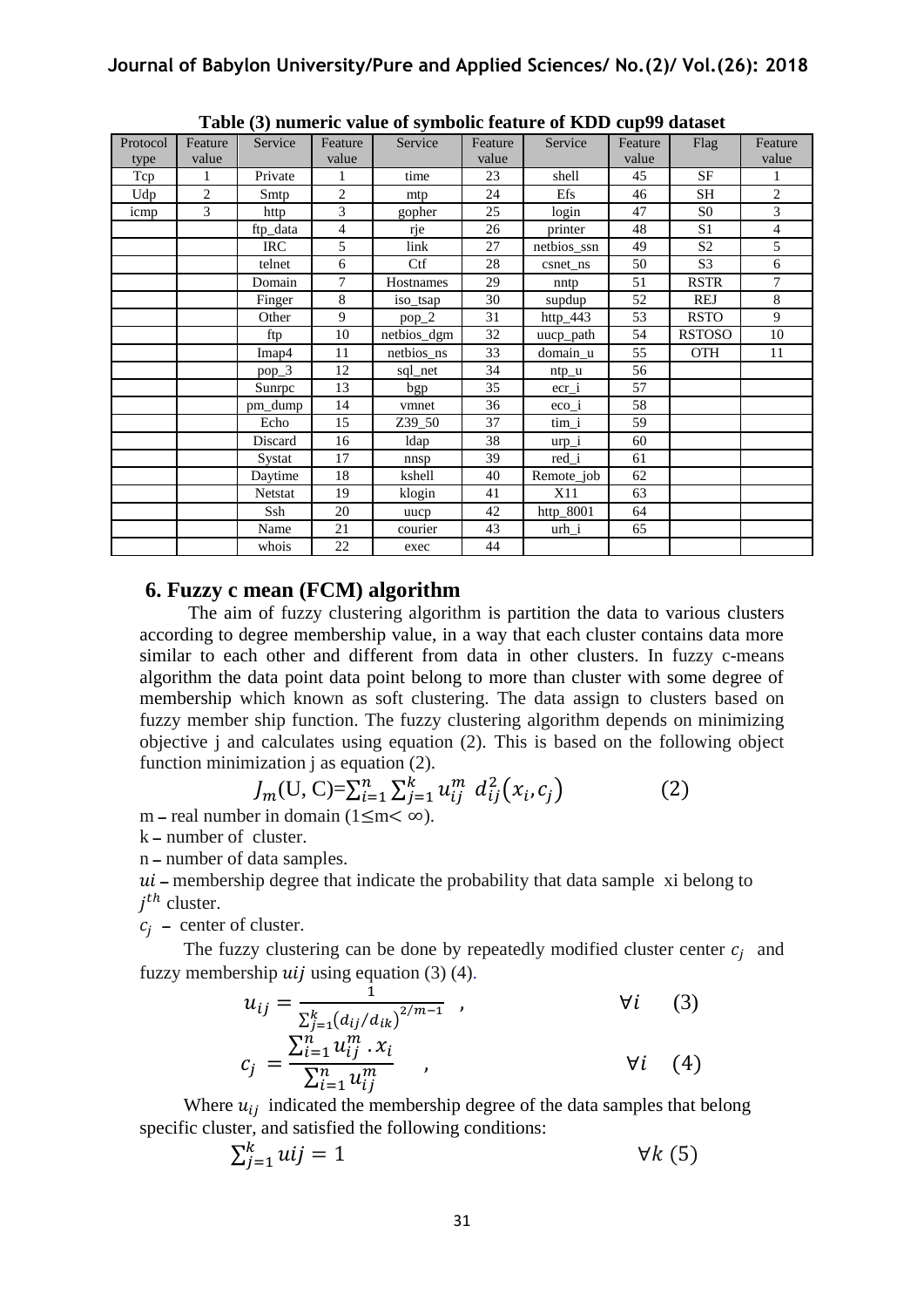|          |              |            |                | Tuble (c) humeric value of symbolic reature of the B cup?? autuset |         |             |         |                |                |
|----------|--------------|------------|----------------|--------------------------------------------------------------------|---------|-------------|---------|----------------|----------------|
| Protocol | Feature      | Service    | Feature        | Service                                                            | Feature | Service     | Feature | Flag           | Feature        |
| type     | value        |            | value          |                                                                    | value   |             | value   |                | value          |
| Tcp      | 1            | Private    | 1              | time                                                               | 23      | shell       | 45      | SF             | 1              |
| Udp      | $\mathbf{2}$ | Smtp       | $\overline{2}$ | mtp                                                                | 24      | Efs         | 46      | <b>SH</b>      | $\overline{c}$ |
| icmp     | 3            | http       | 3              | gopher                                                             | 25      | login       | 47      | S <sub>0</sub> | 3              |
|          |              | ftp_data   | $\overline{4}$ | rje                                                                | 26      | printer     | 48      | S <sub>1</sub> | $\overline{4}$ |
|          |              | <b>IRC</b> | 5              | link                                                               | 27      | netbios_ssn | 49      | S <sub>2</sub> | 5              |
|          |              | telnet     | 6              | Ctf                                                                | 28      | csnet_ns    | 50      | S <sub>3</sub> | 6              |
|          |              | Domain     | 7              | Hostnames                                                          | 29      | nntp        | 51      | <b>RSTR</b>    | 7              |
|          |              | Finger     | 8              | iso_tsap                                                           | 30      | supdup      | 52      | REJ            | 8              |
|          |              | Other      | 9              | $pop_2$                                                            | 31      | http $_443$ | 53      | <b>RSTO</b>    | 9              |
|          |              | ftp        | 10             | netbios_dgm                                                        | 32      | uucp_path   | 54      | <b>RSTOSO</b>  | 10             |
|          |              | Imap4      | 11             | netbios_ns                                                         | 33      | domain_u    | 55      | <b>OTH</b>     | 11             |
|          |              | $pop_3$    | 12             | sql_net                                                            | 34      | $ntp_u$     | 56      |                |                |
|          |              | Sunrpc     | 13             | bgp                                                                | 35      | $ecr_i$     | 57      |                |                |
|          |              | pm_dump    | 14             | vmnet                                                              | 36      | $eco_i$     | 58      |                |                |
|          |              | Echo       | 15             | Z39_50                                                             | 37      | tim_i       | 59      |                |                |
|          |              | Discard    | 16             | ldap                                                               | 38      | $urp_i$     | 60      |                |                |
|          |              | Systat     | 17             | nnsp                                                               | 39      | $red_i$     | 61      |                |                |
|          |              | Daytime    | 18             | kshell                                                             | 40      | Remote_job  | 62      |                |                |
|          |              | Netstat    | 19             | klogin                                                             | 41      | X11         | 63      |                |                |
|          |              | Ssh        | 20             | uucp                                                               | 42      | http_8001   | 64      |                |                |
|          |              | Name       | 21             | courier                                                            | 43      | $urh_i$     | 65      |                |                |
|          |              | whois      | 22             | exec                                                               | 44      |             |         |                |                |

**Table (3) numeric value of symbolic feature of KDD cup99 dataset**

### **6. Fuzzy c mean (FCM) algorithm**

The aim of fuzzy clustering algorithm is partition the data to various clusters according to degree membership value, in a way that each cluster contains data more similar to each other and different from data in other clusters. In fuzzy c-means algorithm the data point data point belong to more than cluster with some degree of membership which known as soft clustering. The data assign to clusters based on fuzzy member ship function. The fuzzy clustering algorithm depends on minimizing objective j and calculates using equation (2). This is based on the following object function minimization  $\mathfrak j$  as equation (2).

$$
J_m(U, C) = \sum_{i=1}^n \sum_{j=1}^k u_{ij}^m d_{ij}^2(x_i, c_j)
$$
 (2)

m – real number in domain  $(1 \le m < \infty)$ .

k ــ number of cluster.

n ــ number of data samples.

 $ui$  – membership degree that indicate the probability that data sample xi belong to  $j^{th}$  cluster.

 $c_i$  – center of cluster.

The fuzzy clustering can be done by repeatedly modified cluster center  $c_i$  and fuzzy membership  $uij$  using equation (3) (4).

$$
u_{ij} = \frac{1}{\sum_{j=1}^{k} (d_{ij}/d_{ik})^{2/m-1}}, \qquad \forall i \qquad (3)
$$
  

$$
c_j = \frac{\sum_{i=1}^{n} u_{ij}^m \cdot x_i}{\sum_{i=1}^{n} u_{ij}^m}, \qquad \forall i \qquad (4)
$$

Where  $u_{ij}$  indicated the membership degree of the data samples that belong specific cluster, and satisfied the following conditions:

$$
\sum_{j=1}^{k} uij = 1 \qquad \qquad \forall k \text{ (5)}
$$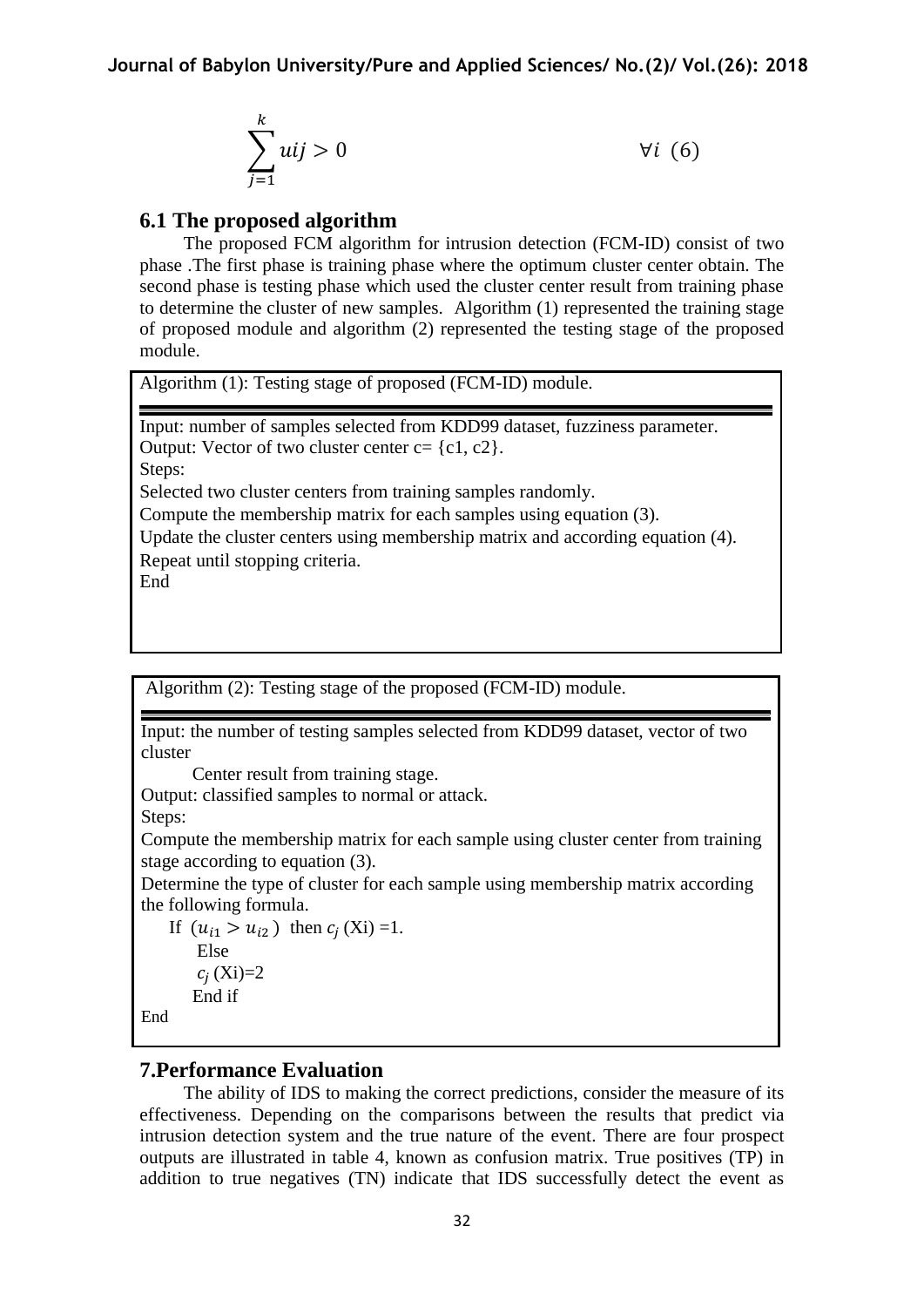$$
\sum_{j=1}^{k} uij > 0 \qquad \forall i \ (6)
$$

# **6.1 The proposed algorithm**

The proposed FCM algorithm for intrusion detection (FCM-ID) consist of two phase .The first phase is training phase where the optimum cluster center obtain. The second phase is testing phase which used the cluster center result from training phase to determine the cluster of new samples. Algorithm (1) represented the training stage of proposed module and algorithm (2) represented the testing stage of the proposed module.

Algorithm (1): Testing stage of proposed (FCM-ID) module.

Input: number of samples selected from KDD99 dataset, fuzziness parameter. Output: Vector of two cluster center  $c = \{c1, c2\}$ . Steps: Selected two cluster centers from training samples randomly. Compute the membership matrix for each samples using equation (3). Update the cluster centers using membership matrix and according equation (4). Repeat until stopping criteria. End

Algorithm (2): Testing stage of the proposed (FCM-ID) module.

Input: the number of testing samples selected from KDD99 dataset, vector of two cluster

Center result from training stage.

Output: classified samples to normal or attack.

Steps:

 Compute the membership matrix for each sample using cluster center from training stage according to equation (3).

 Determine the type of cluster for each sample using membership matrix according the following formula.

If  $(u_{i1} > u_{i2})$  then  $c_i$  (Xi) = 1. Else  $c_i$  (Xi)=2 End if

End

# **7.Performance Evaluation**

The ability of IDS to making the correct predictions, consider the measure of its effectiveness. Depending on the comparisons between the results that predict via intrusion detection system and the true nature of the event. There are four prospect outputs are illustrated in table 4, known as confusion matrix. True positives (TP) in addition to true negatives (TN) indicate that IDS successfully detect the event as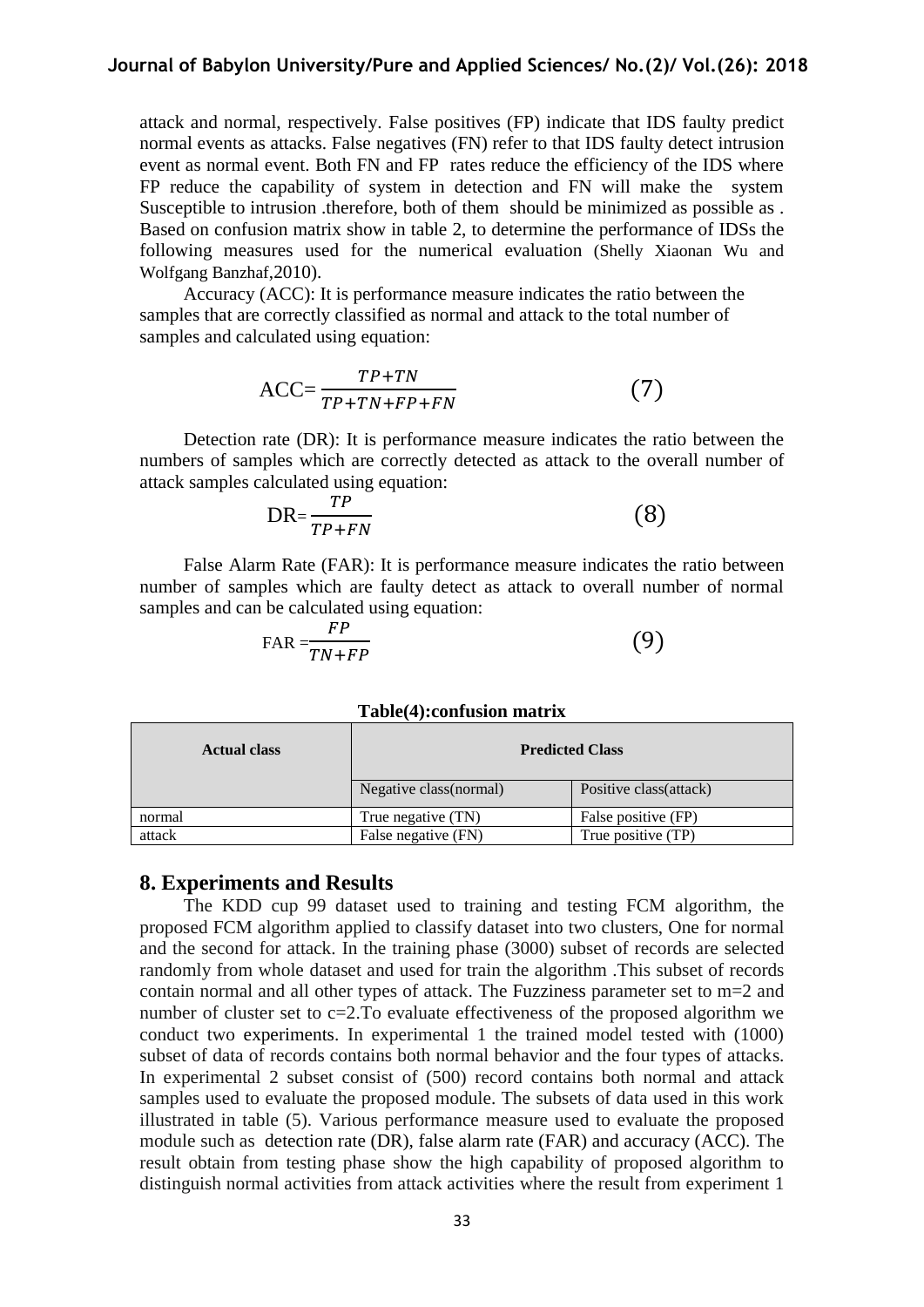attack and normal, respectively. False positives (FP) indicate that IDS faulty predict normal events as attacks. False negatives (FN) refer to that IDS faulty detect intrusion event as normal event. Both FN and FP rates reduce the efficiency of the IDS where FP reduce the capability of system in detection and FN will make the system Susceptible to intrusion .therefore, both of them should be minimized as possible as . Based on confusion matrix show in table 2, to determine the performance of IDSs the following measures used for the numerical evaluation (Shelly Xiaonan Wu and Wolfgang Banzhaf,2010).

Accuracy (ACC): It is performance measure indicates the ratio between the samples that are correctly classified as normal and attack to the total number of samples and calculated using equation:

$$
ACC = \frac{TP + TN}{TP + TN + FP + FN} \tag{7}
$$

Detection rate (DR): It is performance measure indicates the ratio between the numbers of samples which are correctly detected as attack to the overall number of attack samples calculated using equation:

$$
DR = \frac{TP}{TP + FN} \tag{8}
$$

False Alarm Rate (FAR): It is performance measure indicates the ratio between number of samples which are faulty detect as attack to overall number of normal samples and can be calculated using equation:

$$
FAR = \frac{FP}{TN + FP}
$$
 (9)

#### **Table(4):confusion matrix**

| <b>Actual class</b> | <b>Predicted Class</b>  |                        |  |
|---------------------|-------------------------|------------------------|--|
|                     | Negative class (normal) | Positive class(attack) |  |
| normal              | True negative (TN)      | False positive (FP)    |  |
| attack              | False negative (FN)     | True positive (TP)     |  |

#### **8. Experiments and Results**

The KDD cup 99 dataset used to training and testing FCM algorithm, the proposed FCM algorithm applied to classify dataset into two clusters, One for normal and the second for attack. In the training phase (3000) subset of records are selected randomly from whole dataset and used for train the algorithm .This subset of records contain normal and all other types of attack. The Fuzziness parameter set to m=2 and number of cluster set to c=2.To evaluate effectiveness of the proposed algorithm we conduct two experiments. In experimental 1 the trained model tested with (1000) subset of data of records contains both normal behavior and the four types of attacks. In experimental 2 subset consist of (500) record contains both normal and attack samples used to evaluate the proposed module. The subsets of data used in this work illustrated in table (5). Various performance measure used to evaluate the proposed module such as detection rate (DR), false alarm rate (FAR) and accuracy (ACC). The result obtain from testing phase show the high capability of proposed algorithm to distinguish normal activities from attack activities where the result from experiment 1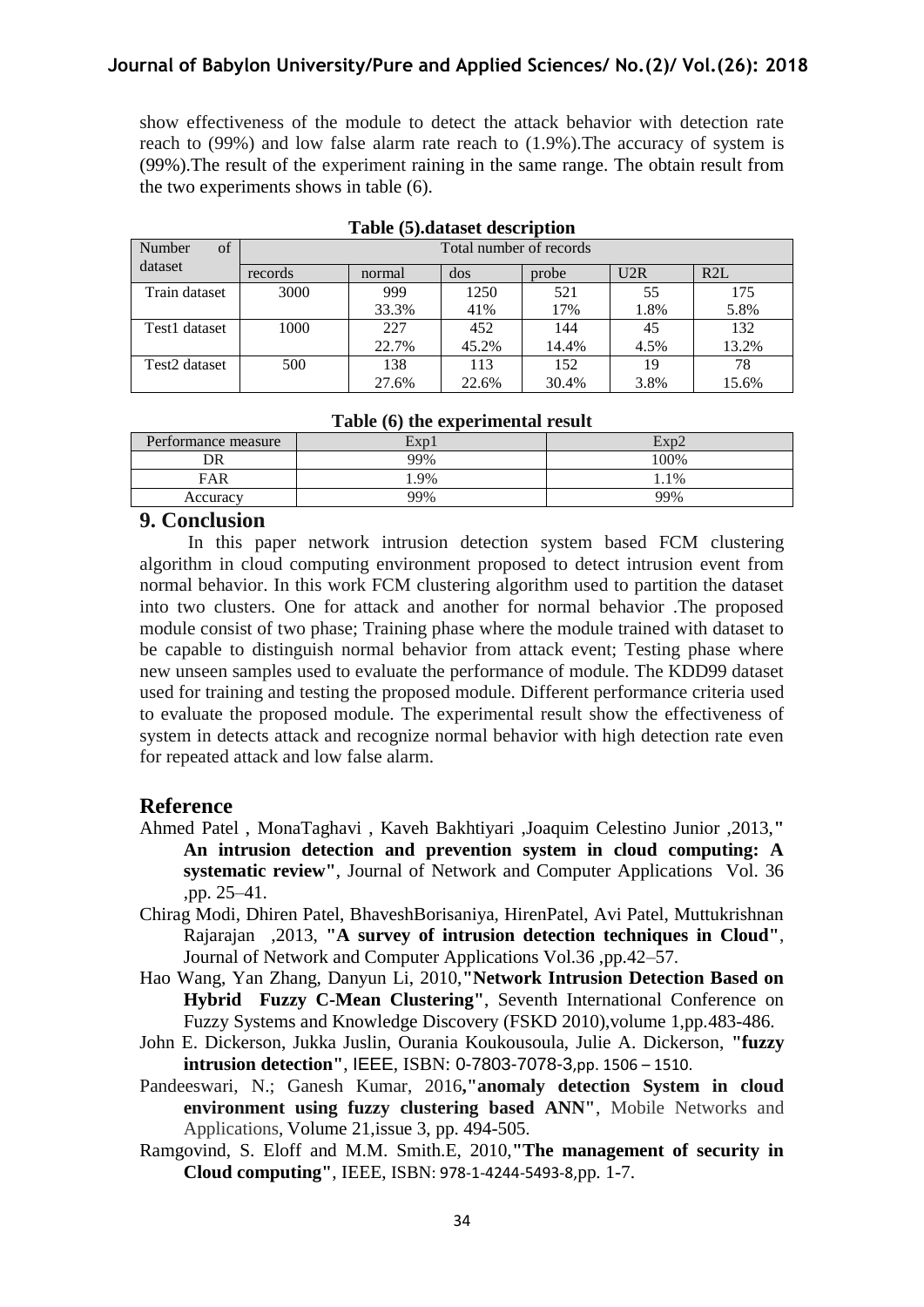show effectiveness of the module to detect the attack behavior with detection rate reach to (99%) and low false alarm rate reach to (1.9%).The accuracy of system is (99%).The result of the experiment raining in the same range. The obtain result from the two experiments shows in table (6).

| of<br>Number  | Total number of records |        |       |       |      |       |
|---------------|-------------------------|--------|-------|-------|------|-------|
| dataset       | records                 | normal | dos   | probe | U2R  | R2L   |
| Train dataset | 3000                    | 999    | 1250  | 521   | 55   | 175   |
|               |                         | 33.3%  | 41%   | 17%   | 1.8% | 5.8%  |
| Test1 dataset | 1000                    | 227    | 452   | 144   | 45   | 132   |
|               |                         | 22.7%  | 45.2% | 14.4% | 4.5% | 13.2% |
| Test2 dataset | 500                     | 138    | 113   | 152   | 19   | 78    |
|               |                         | 27.6%  | 22.6% | 30.4% | 3.8% | 15.6% |

| Performance measure | Exp | Fv <sub>n</sub> |
|---------------------|-----|-----------------|
| DR                  | 99% | $00\%$          |
| FAR                 | .9% | $.1\%$          |
| Accuracy            | 99% | 99%             |

### **9. Conclusion**

In this paper network intrusion detection system based FCM clustering algorithm in cloud computing environment proposed to detect intrusion event from normal behavior. In this work FCM clustering algorithm used to partition the dataset into two clusters. One for attack and another for normal behavior .The proposed module consist of two phase; Training phase where the module trained with dataset to be capable to distinguish normal behavior from attack event; Testing phase where new unseen samples used to evaluate the performance of module. The KDD99 dataset used for training and testing the proposed module. Different performance criteria used to evaluate the proposed module. The experimental result show the effectiveness of system in detects attack and recognize normal behavior with high detection rate even for repeated attack and low false alarm.

## **Reference**

- Ahmed Patel , MonaTaghavi , Kaveh Bakhtiyari ,Joaquim Celestino Junior ,2013,**" An intrusion detection and prevention system in cloud computing: A systematic review"**, Journal of Network and Computer Applications Vol. 36 ,pp. 25–41.
- Chirag Modi, Dhiren Patel, BhaveshBorisaniya, HirenPatel, Avi Patel, Muttukrishnan Rajarajan ,2013, **"A survey of intrusion detection techniques in Cloud"**, Journal of Network and Computer Applications Vol.36 ,pp.42–57.
- Hao Wang, Yan Zhang, Danyun Li, 2010,**"Network Intrusion Detection Based on Hybrid Fuzzy C-Mean Clustering"**, Seventh International Conference on Fuzzy Systems and Knowledge Discovery (FSKD 2010),volume 1,pp.483-486.
- John E. Dickerson, Jukka Juslin, Ourania Koukousoula, Julie A. Dickerson, **"fuzzy intrusion detection"**, IEEE, ISBN: 0-7803-7078-3,pp. 1506 – 1510.
- Pandeeswari, N.; Ganesh Kumar, 2016**,"anomaly detection System in cloud environment using fuzzy clustering based ANN"**, Mobile [Networks](http://link.springer.com/journal/11036) and [Applications,](http://link.springer.com/journal/11036) Volume 21,issue 3, pp. 494-505.
- Ramgovind, S. Eloff and M.M. Smith.E, 2010,**"The management of security in Cloud computing"**, IEEE, ISBN: 978-1-4244-5493-8,pp. 1-7.